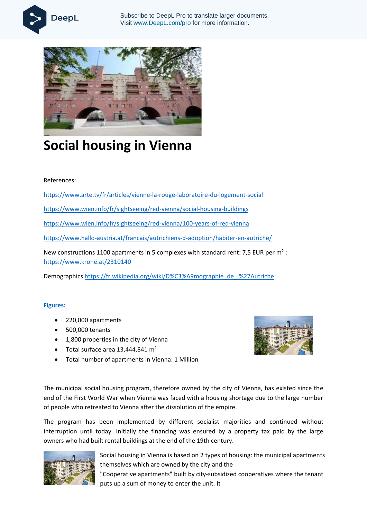



## **Social housing in Vienna**

## References:

<https://www.arte.tv/fr/articles/vienne-la-rouge-laboratoire-du-logement-social>

<https://www.wien.info/fr/sightseeing/red-vienna/social-housing-buildings>

<https://www.wien.info/fr/sightseeing/red-vienna/100-years-of-red-vienna>

<https://www.hallo-austria.at/francais/autrichiens-d-adoption/habiter-en-autriche/>

New constructions 1100 apartments in 5 complexes with standard rent: 7,5 EUR per  $m^2$  : <https://www.krone.at/2310140>

Demographics [https://fr.wikipedia.org/wiki/D%C3%A9mographie\\_de\\_l%27Autriche](https://fr.wikipedia.org/wiki/D%C3%A9mographie_de_l%27Autriche)

## **Figures:**

- 220,000 apartments
- 500,000 tenants
- 1,800 properties in the city of Vienna
- Total surface area  $13,444,841$  m<sup>2</sup>
- Total number of apartments in Vienna: 1 Million



The municipal social housing program, therefore owned by the city of Vienna, has existed since the end of the First World War when Vienna was faced with a housing shortage due to the large number of people who retreated to Vienna after the dissolution of the empire.

The program has been implemented by different socialist majorities and continued without interruption until today. Initially the financing was ensured by a property tax paid by the large owners who had built rental buildings at the end of the 19th century.



Social housing in Vienna is based on 2 types of housing: the municipal apartments themselves which are owned by the city and the "Cooperative apartments" built by city-subsidized cooperatives where the tenant puts up a sum of money to enter the unit. It